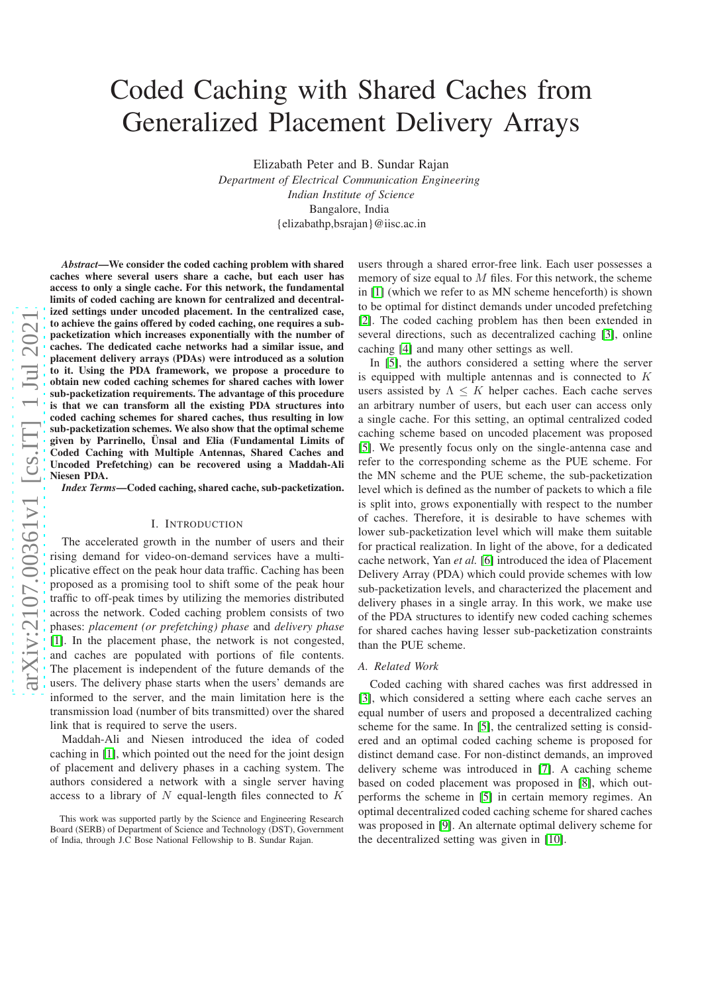# Coded Caching with Shared Caches from Generalized Placement Delivery Arrays

Elizabath Peter and B. Sundar Rajan *Department of Electrical Communication Engineering Indian Institute of Science* Bangalore, India {elizabathp,bsrajan}@iisc.ac.in

*Abstract*—We consider the coded caching problem with shared caches where several users share a cache, but each user has access to only a single cache. For this network, the fundamental limits of coded caching are known for centralized and decentralized settings under uncoded placement. In the centralized case, to achieve the gains offered by coded caching, one requires a subpacketization which increases exponentially with the number of caches. The dedicated cache networks had a similar issue, an d placement delivery arrays (PDAs) were introduced as a solution to it. Using the PDA framework, we propose a procedure to obtain new coded caching schemes for shared caches with lowe r sub-packetization requirements. The advantage of this procedure is that we can transform all the existing PDA structures into coded caching schemes for shared caches, thus resulting in low sub-packetization schemes. We also show that the optimal scheme given by Parrinello, Ünsal and Elia (Fundamental Limits of Coded Caching with Multiple Antennas, Shared Caches and Uncoded Prefetching) can be recovered using a Maddah-Ali Niesen PDA.

*Index Terms*—Coded caching, shared cache, sub-packetization.

#### I. INTRODUCTION

The accelerated growth in the number of users and their rising demand for video-on-demand services have a multiplicative effect on the peak hour data traffic. Caching has been proposed as a promising tool to shift some of the peak hour traffic to off-peak times by utilizing the memories distributed across the network. Coded caching problem consists of two phases: *placement (or prefetching) phase* and *delivery phase* [\[1\]](#page-6-0). In the placement phase, the network is not congested, and caches are populated with portions of file contents. The placement is independent of the future demands of the users. The delivery phase starts when the users' demands are informed to the server, and the main limitation here is the transmission load (number of bits transmitted) over the shared link that is required to serve the users.

Maddah-Ali and Niesen introduced the idea of coded caching in [\[1\]](#page-6-0), which pointed out the need for the joint desig n of placement and delivery phases in a caching system. The authors considered a network with a single server having access to a library of  $N$  equal-length files connected to  $K$ 

users through a shared error-free link. Each user possesses a memory of size equal to  $M$  files. For this network, the scheme in [\[1\]](#page-6-0) (which we refer to as MN scheme henceforth) is shown to be optimal for distinct demands under uncoded prefetchin g [\[2\]](#page-6-1). The coded caching problem has then been extended in several directions, such as decentralized caching [\[3\]](#page-6-2), online caching [\[4\]](#page-6-3) and many other settings as well.

In [\[5\]](#page-6-4), the authors considered a setting where the server is equipped with multiple antennas and is connected to  $K$ users assisted by  $\Lambda \leq K$  helper caches. Each cache serves an arbitrary number of users, but each user can access only a single cache. For this setting, an optimal centralized coded caching scheme based on uncoded placement was proposed [\[5\]](#page-6-4). We presently focus only on the single-antenna case and refer to the corresponding scheme as the PUE scheme. For the MN scheme and the PUE scheme, the sub-packetization level which is defined as the number of packets to which a file is split into, grows exponentially with respect to the numbe r of caches. Therefore, it is desirable to have schemes with lower sub-packetization level which will make them suitabl e for practical realization. In light of the above, for a dedicated cache network, Yan *et al.* [\[6\]](#page-6-5) introduced the idea of Placement Delivery Array (PDA) which could provide schemes with low sub-packetization levels, and characterized the placement and delivery phases in a single array. In this work, we make use of the PDA structures to identify new coded caching schemes for shared caches having lesser sub-packetization constraints than the PUE scheme.

#### *A. Related Work*

Coded caching with shared caches was first addressed in [\[3\]](#page-6-2), which considered a setting where each cache serves an equal number of users and proposed a decentralized caching scheme for the same. In [\[5\]](#page-6-4), the centralized setting is considered and an optimal coded caching scheme is proposed for distinct demand case. For non-distinct demands, an improve d delivery scheme was introduced in [\[7\]](#page-6-6). A caching scheme based on coded placement was proposed in [\[8\]](#page-6-7), which outperforms the scheme in [\[5\]](#page-6-4) in certain memory regimes. An optimal decentralized coded caching scheme for shared caches was proposed in [\[9\]](#page-6-8). An alternate optimal delivery scheme fo r the decentralized setting was given in [\[10\]](#page-6-9).

This work was supported partly by the Science and Engineering Research Board (SERB) of Department of Science and Technology (DST), Government of India, through J.C Bose National Fellowship to B. Sundar Rajan.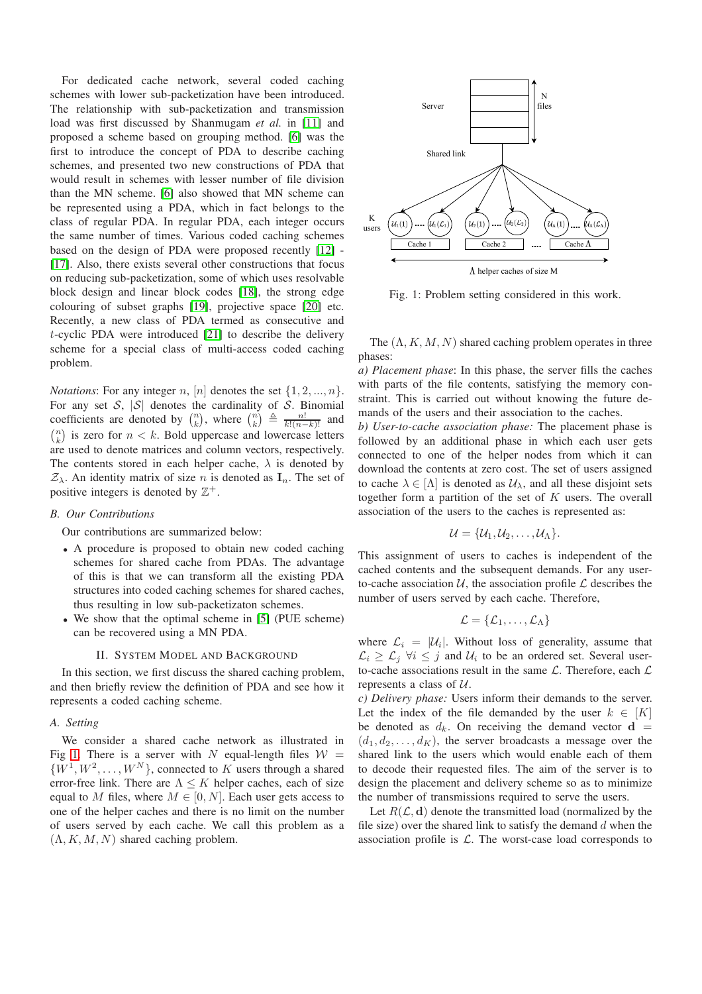For dedicated cache network, several coded caching schemes with lower sub-packetization have been introduced. The relationship with sub-packetization and transmission load was first discussed by Shanmugam *et al.* in [\[11\]](#page-6-10) and proposed a scheme based on grouping method. [\[6\]](#page-6-5) was the first to introduce the concept of PDA to describe caching schemes, and presented two new constructions of PDA that would result in schemes with lesser number of file division than the MN scheme. [\[6\]](#page-6-5) also showed that MN scheme can be represented using a PDA, which in fact belongs to the class of regular PDA. In regular PDA, each integer occurs the same number of times. Various coded caching schemes based on the design of PDA were proposed recently [\[12\]](#page-6-11) - [\[17\]](#page-6-12). Also, there exists several other constructions that focus on reducing sub-packetization, some of which uses resolvable block design and linear block codes [\[18\]](#page-6-13), the strong edge colouring of subset graphs [\[19\]](#page-6-14), projective space [\[20\]](#page-6-15) etc. Recently, a new class of PDA termed as consecutive and t-cyclic PDA were introduced [\[21\]](#page-6-16) to describe the delivery scheme for a special class of multi-access coded caching problem.

*Notations*: For any integer n,  $[n]$  denotes the set  $\{1, 2, ..., n\}$ . For any set  $S$ ,  $|S|$  denotes the cardinality of S. Binomial coefficients are denoted by  $\binom{n}{k}$ , where  $\binom{n}{k} \triangleq \frac{n!}{k!(n-k)!}$  and  $\binom{n}{k}$  is zero for  $n < k$ . Bold uppercase and lowercase letters are used to denote matrices and column vectors, respectively. The contents stored in each helper cache,  $\lambda$  is denoted by  $\mathcal{Z}_\lambda$ . An identity matrix of size *n* is denoted as  $\mathbf{I}_n$ . The set of positive integers is denoted by  $\mathbb{Z}^+$ .

# *B. Our Contributions*

Our contributions are summarized below:

- A procedure is proposed to obtain new coded caching schemes for shared cache from PDAs. The advantage of this is that we can transform all the existing PDA structures into coded caching schemes for shared caches, thus resulting in low sub-packetizaton schemes.
- We show that the optimal scheme in [\[5\]](#page-6-4) (PUE scheme) can be recovered using a MN PDA.

# II. SYSTEM MODEL AND BACKGROUND

In this section, we first discuss the shared caching problem, and then briefly review the definition of PDA and see how it represents a coded caching scheme.

### *A. Setting*

We consider a shared cache network as illustrated in Fig [1.](#page-1-0) There is a server with N equal-length files  $W =$  $\{W^1, W^2, \ldots, W^N\}$ , connected to K users through a shared error-free link. There are  $\Lambda \leq K$  helper caches, each of size equal to M files, where  $M \in [0, N]$ . Each user gets access to one of the helper caches and there is no limit on the number of users served by each cache. We call this problem as a  $(\Lambda, K, M, N)$  shared caching problem.

<span id="page-1-0"></span>

Fig. 1: Problem setting considered in this work.

The  $(\Lambda, K, M, N)$  shared caching problem operates in three phases:

*a) Placement phase*: In this phase, the server fills the caches with parts of the file contents, satisfying the memory constraint. This is carried out without knowing the future demands of the users and their association to the caches.

*b) User-to-cache association phase:* The placement phase is followed by an additional phase in which each user gets connected to one of the helper nodes from which it can download the contents at zero cost. The set of users assigned to cache  $\lambda \in [\Lambda]$  is denoted as  $\mathcal{U}_{\lambda}$ , and all these disjoint sets together form a partition of the set of  $K$  users. The overall association of the users to the caches is represented as:

$$
\mathcal{U}=\{\mathcal{U}_1,\mathcal{U}_2,\ldots,\mathcal{U}_{\Lambda}\}.
$$

This assignment of users to caches is independent of the cached contents and the subsequent demands. For any userto-cache association  $U$ , the association profile  $\mathcal L$  describes the number of users served by each cache. Therefore,

$$
\mathcal{L} = \{ \mathcal{L}_1, \ldots, \mathcal{L}_{\Lambda} \}
$$

where  $\mathcal{L}_i = |\mathcal{U}_i|$ . Without loss of generality, assume that  $\mathcal{L}_i \geq \mathcal{L}_j$   $\forall i \leq j$  and  $\mathcal{U}_i$  to be an ordered set. Several userto-cache associations result in the same  $\mathcal L$ . Therefore, each  $\mathcal L$ represents a class of  $U$ .

*c) Delivery phase:* Users inform their demands to the server. Let the index of the file demanded by the user  $k \in [K]$ be denoted as  $d_k$ . On receiving the demand vector  $\mathbf{d} =$  $(d_1, d_2, \ldots, d_K)$ , the server broadcasts a message over the shared link to the users which would enable each of them to decode their requested files. The aim of the server is to design the placement and delivery scheme so as to minimize the number of transmissions required to serve the users.

Let  $R(\mathcal{L}, d)$  denote the transmitted load (normalized by the file size) over the shared link to satisfy the demand  $d$  when the association profile is  $\mathcal{L}$ . The worst-case load corresponds to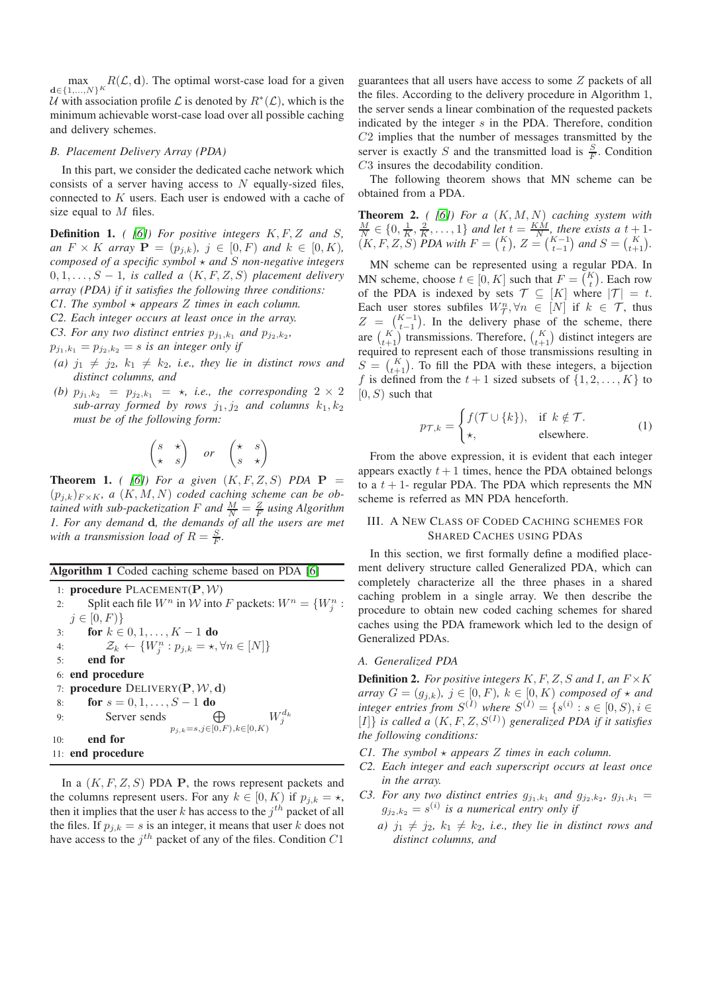$\max_{\mathbf{d} \in \{1,...,N\}^K} R(\mathcal{L}, \mathbf{d})$ . The optimal worst-case load for a given U with association profile L is denoted by  $R^*(\mathcal{L})$ , which is the minimum achievable worst-case load over all possible caching and delivery schemes.

# *B. Placement Delivery Array (PDA)*

In this part, we consider the dedicated cache network which consists of a server having access to  $N$  equally-sized files, connected to K users. Each user is endowed with a cache of size equal to M files.

Definition 1. *( [\[6\]](#page-6-5)) For positive integers* K, F, Z *and* S*, an*  $F \times K$  *array*  $P = (p_{j,k})$ ,  $j \in [0, F)$  *and*  $k \in [0, K)$ , *composed of a specific symbol*  $\star$  *and* S *non-negative integers*  $0, 1, \ldots, S-1$ , is called a  $(K, F, Z, S)$  placement delivery *array (PDA) if it satisfies the following three conditions:*

- *C1. The symbol*  $\star$  *appears Z times in each column.*
- *C2. Each integer occurs at least once in the array.*

*C3. For any two distinct entries*  $p_{j_1,k_1}$  *and*  $p_{j_2,k_2}$ *,* 

 $p_{j_1,k_1} = p_{j_2,k_2} = s$  *is an integer only if* 

- (a)  $j_1 \neq j_2$ ,  $k_1 \neq k_2$ , *i.e.*, they lie in distinct rows and *distinct columns, and*
- *(b)*  $p_{j_1,k_2} = p_{j_2,k_1} = \star$ *, i.e., the corresponding*  $2 \times 2$  $sub-array formed by rows j_1, j_2 and columns k_1, k_2$ *must be of the following form:*

$$
\begin{pmatrix} s & \star \\ \star & s \end{pmatrix} \quad or \quad \begin{pmatrix} \star & s \\ s & \star \end{pmatrix}
$$

**Theorem 1.** *( [\[6\]](#page-6-5))* For a given  $(K, F, Z, S)$  PDA  $P =$  $(p_{j,k})_{F \times K}$ , a  $(K, M, N)$  coded caching scheme can be ob*tained with sub-packetization*  $F$  *and*  $\frac{M}{N} = \frac{Z}{F}$  *using Algorithm 1. For any demand* d*, the demands of all the users are met* with a transmission load of  $R = \frac{S}{F}$ .

| Algorithm 1 Coded caching scheme based on PDA [6] |  |  |  |  |  |  |  |
|---------------------------------------------------|--|--|--|--|--|--|--|
|---------------------------------------------------|--|--|--|--|--|--|--|

1: procedure  $PLACEMENT(P, W)$ 2: Split each file  $W^n$  in W into F packets:  $W^n = \{W_j^n :$  $j \in [0, F)$ 3: **for**  $k \in {0, 1, ..., K - 1}$  do 4:  $\mathcal{Z}_k \leftarrow \{W_j^n : p_{j,k} = \star, \forall n \in [N]\}$ 5: end for 6: end procedure 7: procedure  $DELIVERY(P, W, d)$ 8: **for**  $s = 0, 1, ..., S - 1$  **do** 9: Server sends  $\bigoplus$  $p_{j,k}=s,j\in[0,F),k\in[0,K)$  $W_j^{d_k}$ 10: end for 11: end procedure

In a  $(K, F, Z, S)$  PDA P, the rows represent packets and the columns represent users. For any  $k \in [0, K)$  if  $p_{i,k} = \star$ , then it implies that the user k has access to the  $j^{th}$  packet of all the files. If  $p_{j,k} = s$  is an integer, it means that user k does not have access to the  $j<sup>th</sup>$  packet of any of the files. Condition  $C1$ 

guarantees that all users have access to some Z packets of all the files. According to the delivery procedure in Algorithm 1, the server sends a linear combination of the requested packets indicated by the integer  $s$  in the PDA. Therefore, condition C2 implies that the number of messages transmitted by the server is exactly S and the transmitted load is  $\frac{S}{F}$ . Condition C3 insures the decodability condition.

The following theorem shows that MN scheme can be obtained from a PDA.

**Theorem 2.** *( [\[6\]](#page-6-5))* For a  $(K, M, N)$  caching system with  $\frac{M}{N} \in \{0, \frac{1}{K}, \frac{2}{K}, \dots, 1\}$  and let  $t = \frac{KM}{N}$ , there exists a  $t + 1$ - $(K, F, Z, S)$  *PDA with*  $F = {K \choose t}$ ,  $Z = {K-1 \choose t-1}$  and  $S = {K \choose t+1}$ .

MN scheme can be represented using a regular PDA. In MN scheme, choose  $t \in [0, K]$  such that  $F = {K \choose t}$ . Each row of the PDA is indexed by sets  $\mathcal{T} \subseteq [K]$  where  $|\mathcal{T}| = t$ . Each user stores subfiles  $W^n_{\mathcal{T}}, \forall n \in [N]$  if  $k \in \mathcal{T}$ , thus Each user such such that  $W_{\tau}$ ,  $W_{\tau} \in [N]$  if  $K \in \mathcal{T}$ , thus<br> $Z = (K-1)$ . In the delivery phase of the scheme, there are  $\binom{K}{t+1}$  transmissions. Therefore,  $\binom{K}{t+1}$  distinct integers are required to represent each of those transmissions resulting in  $S = \binom{K}{t+1}$ . To fill the PDA with these integers, a bijection f is defined from the  $t + 1$  sized subsets of  $\{1, 2, \ldots, K\}$  to  $[0, S)$  such that

<span id="page-2-0"></span>
$$
p_{\mathcal{T},k} = \begin{cases} f(\mathcal{T} \cup \{k\}), & \text{if } k \notin \mathcal{T}. \\ \star, & \text{elsewhere.} \end{cases} \tag{1}
$$

From the above expression, it is evident that each integer appears exactly  $t + 1$  times, hence the PDA obtained belongs to a  $t + 1$ - regular PDA. The PDA which represents the MN scheme is referred as MN PDA henceforth.

# III. A NEW CLASS OF CODED CACHING SCHEMES FOR SHARED CACHES USING PDAS

In this section, we first formally define a modified placement delivery structure called Generalized PDA, which can completely characterize all the three phases in a shared caching problem in a single array. We then describe the procedure to obtain new coded caching schemes for shared caches using the PDA framework which led to the design of Generalized PDAs.

#### *A. Generalized PDA*

**Definition 2.** For positive integers  $K, F, Z, S$  and I, an  $F \times K$ *array*  $G = (g_{j,k})$ ,  $j \in [0, F)$ ,  $k \in [0, K)$  *composed of*  $\star$  *and integer entries from*  $S^{(I)}$  *where*  $S^{(I)} = \{s^{(i)} : s \in [0, S), i \in \mathbb{R}\}$ [I] $\}$  *is called a*  $(K, F, Z, S<sup>(I)</sup>)$  generalized PDA if it satisfies *the following conditions:*

- *C1. The symbol*  $\star$  *appears Z times in each column.*
- *C2. Each integer and each superscript occurs at least once in the array.*
- *C3. For any two distinct entries*  $g_{j_1,k_1}$  *and*  $g_{j_2,k_2}$ ,  $g_{j_1,k_1}$  =  $g_{j_2,k_2} = s^{(i)}$  is a numerical entry only if
	- *a*)  $j_1 \neq j_2$ ,  $k_1 \neq k_2$ , *i.e., they lie in distinct rows and distinct columns, and*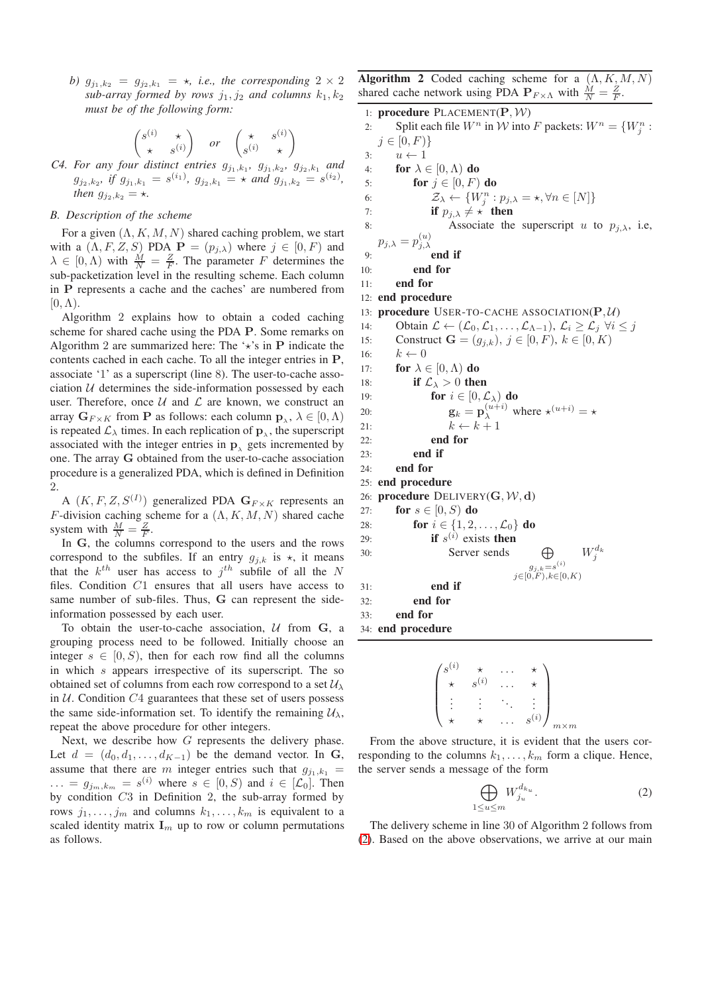*b*)  $g_{j_1,k_2} = g_{j_2,k_1} = \star$ , *i.e.*, the corresponding  $2 \times 2$ *sub-array formed by rows*  $j_1, j_2$  *and columns*  $k_1, k_2$ *must be of the following form:*

$$
\begin{pmatrix} s^{(i)} & \star \\ \star & s^{(i)} \end{pmatrix} \quad or \quad \begin{pmatrix} \star & s^{(i)} \\ s^{(i)} & \star \end{pmatrix}
$$

*C4. For any four distinct entries*  $g_{j_1,k_1}$ ,  $g_{j_1,k_2}$ ,  $g_{j_2,k_1}$  and  $g_{j_2,k_2}$ , if  $g_{j_1,k_1} = s^{(i_1)}$ ,  $g_{j_2,k_1} = \star$  and  $g_{j_1,k_2} = s^{(i_2)}$ , *then*  $g_{i_2,k_2} = \star$ .

# *B. Description of the scheme*

For a given  $(\Lambda, K, M, N)$  shared caching problem, we start with a  $(\Lambda, F, Z, S)$  PDA  $\mathbf{P} = (p_{j,\lambda})$  where  $j \in [0, F)$  and  $\lambda \in [0, \Lambda)$  with  $\frac{M}{N} = \frac{Z}{F}$ . The parameter F determines the sub-packetization level in the resulting scheme. Each column in P represents a cache and the caches' are numbered from  $[0,\Lambda).$ 

Algorithm 2 explains how to obtain a coded caching scheme for shared cache using the PDA P. Some remarks on Algorithm 2 are summarized here: The  $\forall$ 's in P indicate the contents cached in each cache. To all the integer entries in P, associate '1' as a superscript (line 8). The user-to-cache association  $U$  determines the side-information possessed by each user. Therefore, once  $U$  and  $\mathcal L$  are known, we construct an array  $\mathbf{G}_{F \times K}$  from P as follows: each column  $\mathbf{p}_{\lambda}, \lambda \in [0, \Lambda)$ is repeated  $\mathcal{L}_{\lambda}$  times. In each replication of  $\mathbf{p}_{\lambda}$ , the superscript associated with the integer entries in  $\mathbf{p}_{\lambda}$  gets incremented by one. The array G obtained from the user-to-cache association procedure is a generalized PDA, which is defined in Definition 2.

A  $(K, F, Z, S<sup>(I)</sup>)$  generalized PDA  $G_{F \times K}$  represents an F-division caching scheme for a  $(\Lambda, K, M, N)$  shared cache system with  $\frac{M}{N} = \frac{Z}{F}$ .

In G, the columns correspond to the users and the rows correspond to the subfiles. If an entry  $g_{j,k}$  is  $\star$ , it means that the  $k^{th}$  user has access to  $j^{th}$  subfile of all the N files. Condition C1 ensures that all users have access to same number of sub-files. Thus, G can represent the sideinformation possessed by each user.

To obtain the user-to-cache association,  $U$  from  $G$ , a grouping process need to be followed. Initially choose an integer  $s \in [0, S)$ , then for each row find all the columns in which s appears irrespective of its superscript. The so obtained set of columns from each row correspond to a set  $\mathcal{U}_{\lambda}$ in  $U$ . Condition  $C<sub>4</sub>$  guarantees that these set of users possess the same side-information set. To identify the remaining  $\mathcal{U}_{\lambda}$ , repeat the above procedure for other integers.

Next, we describe how G represents the delivery phase. Let  $d = (d_0, d_1, \ldots, d_{K-1})$  be the demand vector. In G, assume that there are m integer entries such that  $g_{j_1,k_1} =$  $\ldots = g_{j_m,k_m} = s^{(i)}$  where  $s \in [0, S)$  and  $i \in [\mathcal{L}_0]$ . Then by condition C3 in Definition 2, the sub-array formed by rows  $j_1, \ldots, j_m$  and columns  $k_1, \ldots, k_m$  is equivalent to a scaled identity matrix  $\mathbf{I}_m$  up to row or column permutations as follows.

Algorithm 2 Coded caching scheme for a  $(\Lambda, K, M, N)$ shared cache network using PDA  $P_{F \times \Lambda}$  with  $\frac{M}{N} = \frac{Z}{F}$ .

procedure  $PLACEMENT(P, W)$ 2: Split each file  $W^n$  in W into F packets:  $W^n = \{W_j^n :$  $j \in [0, F)$ 3:  $u \leftarrow 1$ 4: for  $\lambda \in [0, \Lambda)$  do 5: for  $j \in [0, F)$  do 6:  $\mathcal{Z}_{\lambda} \leftarrow \{W_j^n : p_{j,\lambda} = \star, \forall n \in [N]\}$ 7: if  $p_{j,\lambda} \neq \star$  then 8: Associate the superscript u to  $p_{j,\lambda}$ , i.e,  $p_{j,\lambda} = p_{j,\lambda}^{(u)}$  $j,\lambda$ 9: end if 10: end for 11: end for 12: end procedure 13: procedure USER-TO-CACHE ASSOCIATION( $P, U$ ) 14: Obtain  $\mathcal{L} \leftarrow (\mathcal{L}_0, \mathcal{L}_1, \dots, \mathcal{L}_{\Lambda-1}), \mathcal{L}_i \geq \mathcal{L}_j \ \forall i \leq j$ 15: **Construct G** =  $(g_{j,k})$ ,  $j \in [0, F)$ ,  $k \in [0, K)$ 16:  $k \leftarrow 0$ 17: **for**  $\lambda \in [0, \Lambda)$  do 18: if  $\mathcal{L}_{\lambda} > 0$  then 19: **for**  $i \in [0, \mathcal{L}_{\lambda})$  **do** 20:  $\mathbf{g}_k = \mathbf{p}_{\lambda}^{(u+i)}$  where  $\star^{(u+i)} = \star$ 21:  $k \leftarrow k + 1$ 22: end for 23: end if 24: end for 25: end procedure 26: procedure  $DELIVERY(G, W, d)$ 27: **for**  $s \in [0, S)$  **do** 28: **for**  $i \in \{1, 2, ..., \mathcal{L}_0\}$  **do** 29: **if**  $s^{(i)}$  exists then 30: Server sends  $\bigoplus$  $g_{j,k}=s^{(i)}$  $j \in [0, F), k \in [0, K)$  $W_j^{d_k}$ 31: end if 32: end for 33: end for 34: end procedure

$$
\begin{pmatrix}\ns^{(i)} & \star & \ldots & \star \\
\star & s^{(i)} & \ldots & \star \\
\vdots & \vdots & \ddots & \vdots \\
\star & \star & \ldots & s^{(i)}\n\end{pmatrix}_{m \times m}
$$

From the above structure, it is evident that the users corresponding to the columns  $k_1, \ldots, k_m$  form a clique. Hence, the server sends a message of the form

<span id="page-3-0"></span>
$$
\bigoplus_{1 \le u \le m} W_{j_u}^{d_{k_u}}.\tag{2}
$$

The delivery scheme in line 30 of Algorithm 2 follows from [\(2\)](#page-3-0). Based on the above observations, we arrive at our main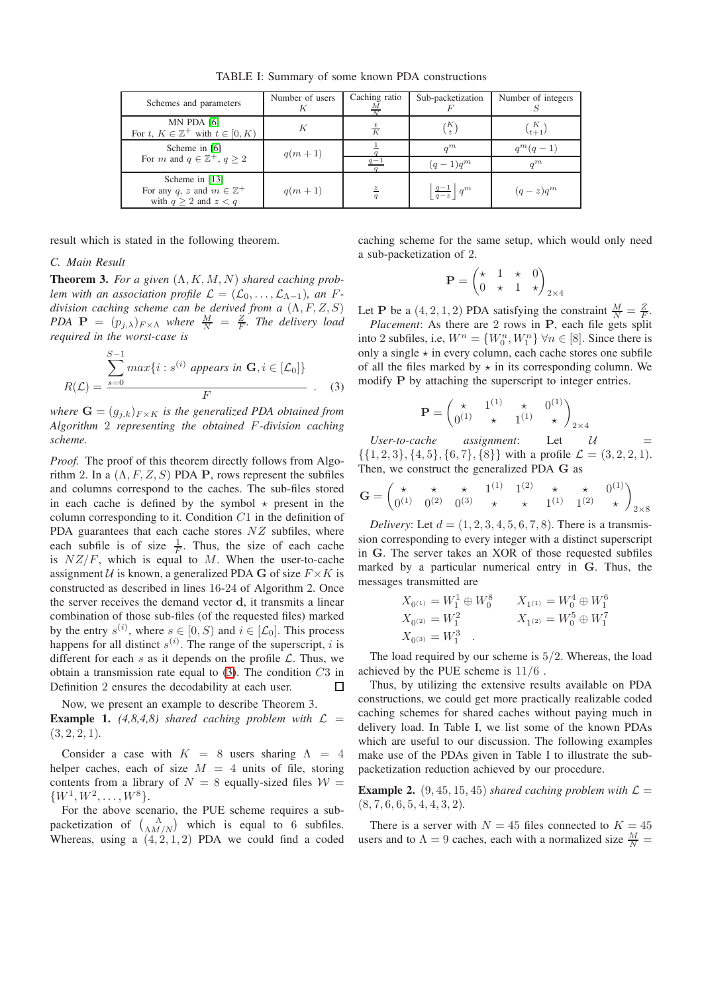| Schemes and parameters                                                              | Number of users | Caching ratio        | Sub-packetization       | Number of integers |
|-------------------------------------------------------------------------------------|-----------------|----------------------|-------------------------|--------------------|
| <b>MN PDA [6]</b><br>For t, $K \in \mathbb{Z}^+$ with $t \in [0, K)$                |                 | $\bar{\overline{K}}$ | $\binom{K}{t}$          | $K_{t+1}$          |
| Scheme in [6]                                                                       | $q(m+1)$        |                      | $q^m$                   | $q^m(q-1)$         |
| For m and $q \in \mathbb{Z}^+$ , $q > 2$                                            |                 | $q-1$                | $(q-1)q^m$              | $q^m$              |
| Scheme in [13]<br>For any q, z and $m \in \mathbb{Z}^+$<br>with $q > 2$ and $z < q$ | $q(m+1)$        |                      | $\frac{q-1}{q-z}$ $q^m$ | $(q-z)q^m$         |

TABLE I: Summary of some known PDA constructions

result which is stated in the following theorem.

#### *C. Main Result*

**Theorem 3.** For a given  $(\Lambda, K, M, N)$  shared caching prob*lem with an association profile*  $\mathcal{L} = (\mathcal{L}_0, \dots, \mathcal{L}_{\Lambda-1})$ *, an Fdivision caching scheme can be derived from a* (Λ, F, Z, S)  $PDA$  **P** =  $(p_{j,\lambda})_{F \times \Lambda}$  *where*  $\frac{M}{N}$  =  $\frac{Z}{F}$ *. The delivery load required in the worst-case is*

<span id="page-4-0"></span>
$$
R(\mathcal{L}) = \frac{\sum_{s=0}^{S-1} \max\{i : s^{(i)} \text{ appears in } \mathbf{G}, i \in [\mathcal{L}_0]\}}{F} \quad . \quad (3)
$$

*where*  $\mathbf{G} = (g_{i,k})_{F \times K}$  *is the generalized PDA obtained from Algorithm* 2 *representing the obtained* F*-division caching scheme.*

*Proof.* The proof of this theorem directly follows from Algorithm 2. In a  $(\Lambda, F, Z, S)$  PDA P, rows represent the subfiles and columns correspond to the caches. The sub-files stored in each cache is defined by the symbol  $\star$  present in the column corresponding to it. Condition  $C1$  in the definition of PDA guarantees that each cache stores  $NZ$  subfiles, where each subfile is of size  $\frac{1}{F}$ . Thus, the size of each cache is  $NZ/F$ , which is equal to M. When the user-to-cache assignment  $U$  is known, a generalized PDA G of size  $F \times K$  is constructed as described in lines 16-24 of Algorithm 2. Once the server receives the demand vector d, it transmits a linear combination of those sub-files (of the requested files) marked by the entry  $s^{(i)}$ , where  $s \in [0, S)$  and  $i \in [\mathcal{L}_0]$ . This process happens for all distinct  $s^{(i)}$ . The range of the superscript, i is different for each s as it depends on the profile  $\mathcal{L}$ . Thus, we obtain a transmission rate equal to  $(3)$ . The condition  $C3$  in Definition 2 ensures the decodability at each user.  $\Box$ 

# Now, we present an example to describe Theorem 3. **Example 1.** (4,8,4,8) shared caching problem with  $\mathcal{L}$  = (3, 2, 2, 1)*.*

Consider a case with  $K = 8$  users sharing  $\Lambda = 4$ helper caches, each of size  $M = 4$  units of file, storing contents from a library of  $N = 8$  equally-sized files  $W =$  $\{W^1, W^2, \ldots, W^8\}.$ 

For the above scenario, the PUE scheme requires a subpacketization of  $\begin{pmatrix} \Lambda \\ \Lambda M/N \end{pmatrix}$  which is equal to 6 subfiles. Whereas, using a  $(4, 2, 1, 2)$  PDA we could find a coded caching scheme for the same setup, which would only need a sub-packetization of 2.

$$
\mathbf{P} = \begin{pmatrix} \star & 1 & \star & 0 \\ 0 & \star & 1 & \star \end{pmatrix}_{2 \times 4}
$$

Let P be a  $(4, 2, 1, 2)$  PDA satisfying the constraint  $\frac{M}{N} = \frac{Z}{F}$ . *Placement*: As there are 2 rows in P, each file gets split into 2 subfiles, i.e,  $W^n = \{W_0^n, W_1^n\}$   $\forall n \in [8]$ . Since there is only a single  $\star$  in every column, each cache stores one subfile of all the files marked by  $\star$  in its corresponding column. We modify P by attaching the superscript to integer entries.

$$
\mathbf{P} = \begin{pmatrix} \star & 1^{(1)} & \star & 0^{(1)} \\ 0^{(1)} & \star & 1^{(1)} & \star \end{pmatrix}_{2 \times 4}
$$

 $User-to-cache$   $assignment:$  Let  $U$  $\{\{1, 2, 3\}, \{4, 5\}, \{6, 7\}, \{8\}\}\$ with a profile  $\mathcal{L} = (3, 2, 2, 1).$ Then, we construct the generalized PDA G as

$$
\mathbf{G} = \begin{pmatrix} \star & \star & \star & 1^{(1)} & 1^{(2)} & \star & \star & 0^{(1)} \\ 0^{(1)} & 0^{(2)} & 0^{(3)} & \star & \star & 1^{(1)} & 1^{(2)} & \star \end{pmatrix}_{2 \times 8}
$$

*Delivery*: Let  $d = (1, 2, 3, 4, 5, 6, 7, 8)$ . There is a transmission corresponding to every integer with a distinct superscript in G. The server takes an XOR of those requested subfiles marked by a particular numerical entry in G. Thus, the messages transmitted are

$$
\begin{aligned} X_{0^{(1)}} &= W_1^1 \oplus W_0^8 \qquad X_{1^{(1)}} &= W_0^4 \oplus W_1^6 \\ X_{0^{(2)}} &= W_1^2 \qquad \qquad X_{1^{(2)}} &= W_0^5 \oplus W_1^7 \\ X_{0^{(3)}} &= W_1^3 \quad . \end{aligned}
$$

The load required by our scheme is 5/2. Whereas, the load achieved by the PUE scheme is 11/6 .

Thus, by utilizing the extensive results available on PDA constructions, we could get more practically realizable coded caching schemes for shared caches without paying much in delivery load. In Table I, we list some of the known PDAs which are useful to our discussion. The following examples make use of the PDAs given in Table I to illustrate the subpacketization reduction achieved by our procedure.

**Example 2.** (9, 45, 15, 45) *shared caching problem with*  $\mathcal{L} =$ (8, 7, 6, 6, 5, 4, 4, 3, 2)*.*

There is a server with  $N = 45$  files connected to  $K = 45$ users and to  $\Lambda = 9$  caches, each with a normalized size  $\frac{M}{N} =$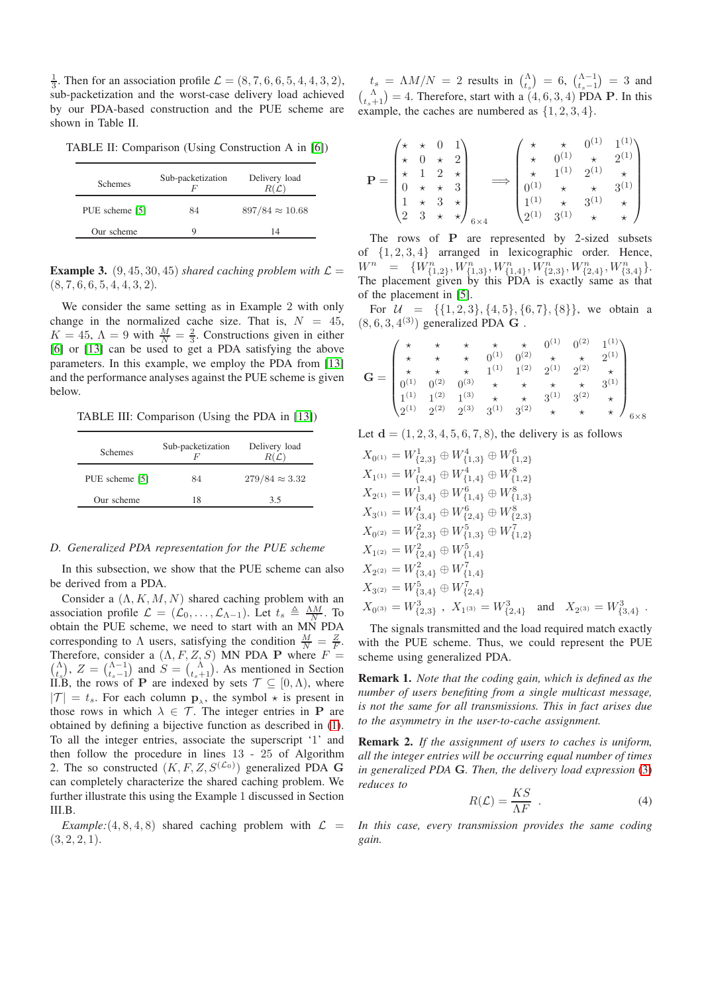$\frac{1}{3}$ . Then for an association profile  $\mathcal{L} = (8, 7, 6, 6, 5, 4, 4, 3, 2)$ , sub-packetization and the worst-case delivery load achieved by our PDA-based construction and the PUE scheme are shown in Table II.

TABLE II: Comparison (Using Construction A in [\[6\]](#page-6-5))

| <b>Schemes</b> | Sub-packetization | Delivery load          |  |
|----------------|-------------------|------------------------|--|
| PUE scheme [5] | 84                | $897/84 \approx 10.68$ |  |
| Our scheme     | g                 | 14                     |  |

**Example 3.** (9, 45, 30, 45) *shared caching problem with*  $\mathcal{L} =$ (8, 7, 6, 6, 5, 4, 4, 3, 2)*.*

We consider the same setting as in Example 2 with only change in the normalized cache size. That is,  $N = 45$ ,  $K = 45$ ,  $\Lambda = 9$  with  $\frac{M}{N} = \frac{2}{3}$ . Constructions given in either [\[6\]](#page-6-5) or [\[13\]](#page-6-17) can be used to get a PDA satisfying the above parameters. In this example, we employ the PDA from [\[13\]](#page-6-17) and the performance analyses against the PUE scheme is given below.

TABLE III: Comparison (Using the PDA in [\[13\]](#page-6-17))

| <b>Schemes</b> | Sub-packetization | Delivery load         |  |
|----------------|-------------------|-----------------------|--|
| PUE scheme [5] | 84                | $279/84 \approx 3.32$ |  |
| Our scheme     | 18                | 3.5                   |  |

#### *D. Generalized PDA representation for the PUE scheme*

In this subsection, we show that the PUE scheme can also be derived from a PDA.

Consider a  $(\Lambda, K, M, N)$  shared caching problem with an association profile  $\mathcal{L} = (\mathcal{L}_0, \dots, \mathcal{L}_{\Lambda-1})$ . Let  $t_s \triangleq \frac{\Lambda M}{N}$ . To obtain the PUE scheme, we need to start with an MN PDA corresponding to  $\Lambda$  users, satisfying the condition  $\frac{M}{N} = \frac{Z}{F}$ . Therefore, consider a  $(\Lambda, F, Z, S)$  MN PDA P where  $F =$  $\binom{\Lambda}{t_s}$ ,  $Z = \binom{\Lambda-1}{t_s-1}$  and  $S = \binom{\Lambda}{t_s+1}$ . As mentioned in Section II.B, the rows of P are indexed by sets  $\mathcal{T} \subseteq [0,\Lambda)$ , where  $|\mathcal{T}| = t_s$ . For each column  $\mathbf{p}_{\lambda}$ , the symbol  $\star$  is present in those rows in which  $\lambda \in \mathcal{T}$ . The integer entries in **P** are obtained by defining a bijective function as described in [\(1\)](#page-2-0). To all the integer entries, associate the superscript '1' and then follow the procedure in lines 13 - 25 of Algorithm 2. The so constructed  $(K, F, Z, S^{(\mathcal{L}_0)})$  generalized PDA G can completely characterize the shared caching problem. We further illustrate this using the Example 1 discussed in Section III.B.

*Example:*(4, 8, 4, 8) shared caching problem with  $\mathcal{L}$  =  $(3, 2, 2, 1).$ 

 $t_s = \Lambda M/N = 2$  results in  $\binom{\Lambda}{t_s} = 6$ ,  $\binom{\Lambda-1}{t_s-1} = 3$  and  $\binom{\Lambda}{t_s+1} = 4$ . Therefore, start with a  $(4, 6, 3, 4)$  PDA P. In this example, the caches are numbered as  $\{1, 2, 3, 4\}$ .

$$
\mathbf{P} = \begin{pmatrix} \star & \star & 0 & 1 \\ \star & 0 & \star & 2 \\ \star & 1 & 2 & \star \\ 0 & \star & \star & 3 \\ 1 & \star & 3 & \star \\ 2 & 3 & \star & \star \end{pmatrix}_{6 \times 4} \implies \begin{pmatrix} \star & \star & 0^{(1)} & 1^{(1)} \\ \star & 0^{(1)} & \star & 2^{(1)} \\ \star & 1^{(1)} & 2^{(1)} & \star \\ 0^{(1)} & \star & \star & 3^{(1)} \\ 2^{(1)} & 3^{(1)} & \star & \star \end{pmatrix}
$$

The rows of P are represented by 2-sized subsets of {1, 2, 3, 4} arranged in lexicographic order. Hence,  $W^{n} = \{W^{n}_{\{1,2\}}, W^{n}_{\{1,3\}}, W^{n}_{\{1,4\}}, W^{n}_{\{2,3\}}, W^{n}_{\{2,4\}}, W^{n}_{\{3,4\}}\}.$ The placement given by this PDA is exactly same as that of the placement in [\[5\]](#page-6-4).

For  $U = \{ \{1, 2, 3\}, \{4, 5\}, \{6, 7\}, \{8\} \}$ , we obtain a  $(8, 6, 3, 4<sup>(3)</sup>)$  generalized PDA G.

$$
\mathbf{G} = \begin{pmatrix} \star & \star & \star & \star & \star & 0^{(1)} & 0^{(2)} & 1^{(1)} \\ \star & \star & \star & 0^{(1)} & 0^{(2)} & \star & \star & 2^{(1)} \\ \star & \star & \star & 1^{(1)} & 1^{(2)} & 2^{(1)} & 2^{(2)} & \star \\ 0^{(1)} & 0^{(2)} & 0^{(3)} & \star & \star & \star & \star & \star & 3^{(1)} \\ 1^{(1)} & 1^{(2)} & 1^{(3)} & \star & \star & 3^{(1)} & 3^{(2)} & \star \\ 2^{(1)} & 2^{(2)} & 2^{(3)} & 3^{(1)} & 3^{(2)} & \star & \star & \star & \star \end{pmatrix}_{6 \times 8}
$$

Let  $d = (1, 2, 3, 4, 5, 6, 7, 8)$ , the delivery is as follows

$$
X_{0^{(1)}} = W_{\{2,3\}}^{1} \oplus W_{\{1,3\}}^{4} \oplus W_{\{1,2\}}^{6}
$$
  
\n
$$
X_{1^{(1)}} = W_{\{2,4\}}^{1} \oplus W_{\{1,4\}}^{4} \oplus W_{\{1,2\}}^{8}
$$
  
\n
$$
X_{2^{(1)}} = W_{\{3,4\}}^{1} \oplus W_{\{1,4\}}^{6} \oplus W_{\{1,3\}}^{8}
$$
  
\n
$$
X_{3^{(1)}} = W_{\{3,4\}}^{4} \oplus W_{\{2,4\}}^{6} \oplus W_{\{2,3\}}^{8}
$$
  
\n
$$
X_{0^{(2)}} = W_{\{2,3\}}^{2} \oplus W_{\{1,3\}}^{5} \oplus W_{\{1,2\}}^{7}
$$
  
\n
$$
X_{1^{(2)}} = W_{\{2,4\}}^{2} \oplus W_{\{1,4\}}^{5}
$$
  
\n
$$
X_{2^{(2)}} = W_{\{3,4\}}^{2} \oplus W_{\{1,4\}}^{7}
$$
  
\n
$$
X_{3^{(2)}} = W_{\{3,4\}}^{5} \oplus W_{\{2,4\}}^{7}
$$
  
\n
$$
X_{3^{(2)}} = W_{\{3,4\}}^{5} \oplus W_{\{2,4\}}^{7}
$$
  
\n
$$
X_{0^{(3)}} = W_{\{2,3\}}^{3}, X_{1^{(3)}} = W_{\{2,4\}}^{3}
$$
 and 
$$
X_{2^{(3)}} = W_{\{3,4\}}^{3}
$$

The signals transmitted and the load required match exactly with the PUE scheme. Thus, we could represent the PUE scheme using generalized PDA.

Remark 1. *Note that the coding gain, which is defined as the number of users benefiting from a single multicast message, is not the same for all transmissions. This in fact arises due to the asymmetry in the user-to-cache assignment.*

Remark 2. *If the assignment of users to caches is uniform, all the integer entries will be occurring equal number of times in generalized PDA* G*. Then, the delivery load expression* [\(3\)](#page-4-0) *reduces to*

$$
R(\mathcal{L}) = \frac{KS}{\Lambda F} \quad . \tag{4}
$$

.

*In this case, every transmission provides the same coding gain.*